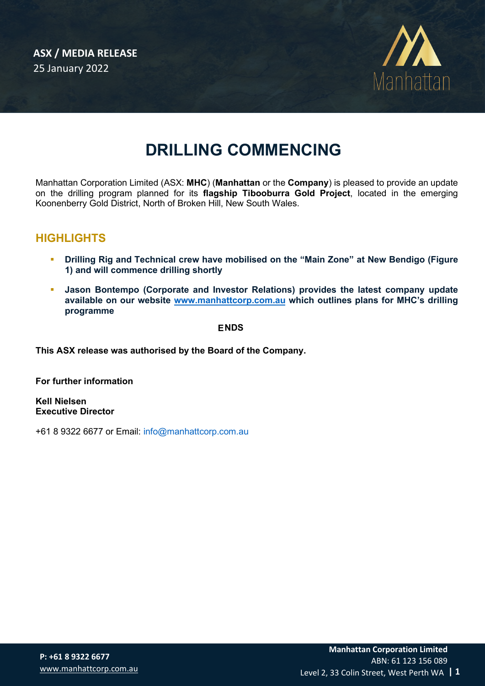

# **DRILLING COMMENCING**

Manhattan Corporation Limited (ASX: **MHC**) (**Manhattan** or the **Company**) is pleased to provide an update on the drilling program planned for its **flagship Tibooburra Gold Project**, located in the emerging Koonenberry Gold District, North of Broken Hill, New South Wales.

## **HIGHLIGHTS**

- **Drilling Rig and Technical crew have mobilised on the "Main Zone" at New Bendigo (Figure 1) and will commence drilling shortly**
- **Jason Bontempo (Corporate and Investor Relations) provides the latest company update available on our website [www.manhattcorp.com.au](http://www.manhattcorp.com.au/) which outlines plans for MHC's drilling programme**

**ENDS**

**This ASX release was authorised by the Board of the Company.** 

**For further information** 

**Kell Nielsen Executive Director** 

+61 8 9322 6677 or Email: info@manhattcorp.com.au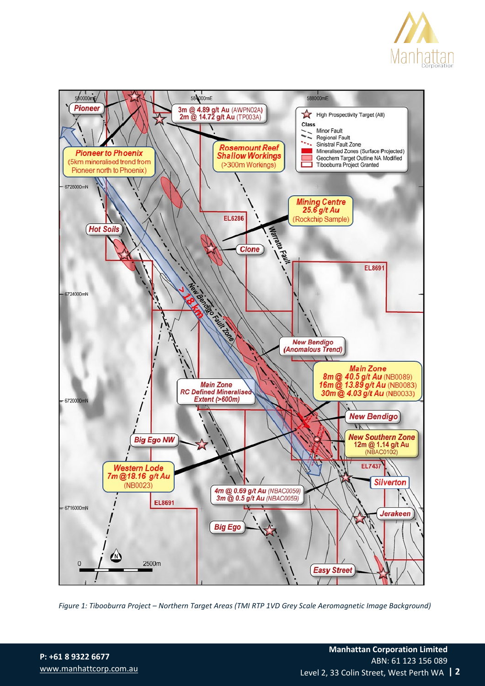



*Figure 1: Tibooburra Project – Northern Target Areas (TMI RTP 1VD Grey Scale Aeromagnetic Image Background)* 

**P: +61 8 9322 6677** [www.manhattcorp.com.au](http://www.manhattcorp.com.au/) Level 2, 33 Colin Street, West Perth WA **| 2** ABN: 61 123 156 089 **Manhattan Corporation Limited**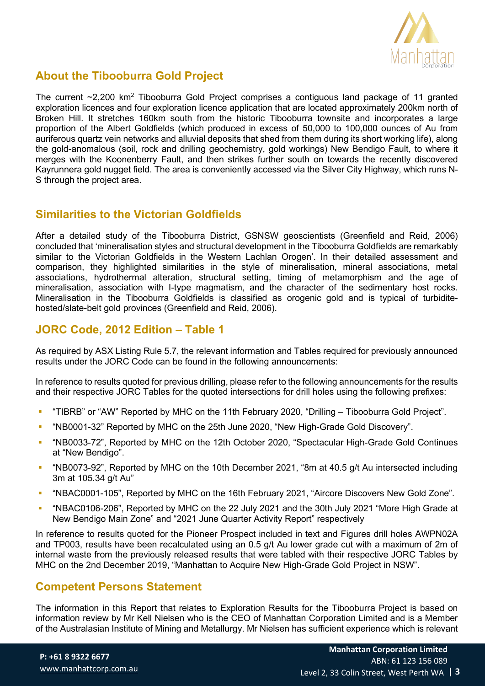

## **About the Tibooburra Gold Project**

The current  $\sim$ 2,200 km<sup>2</sup> Tibooburra Gold Project comprises a contiguous land package of 11 granted exploration licences and four exploration licence application that are located approximately 200km north of Broken Hill. It stretches 160km south from the historic Tibooburra townsite and incorporates a large proportion of the Albert Goldfields (which produced in excess of 50,000 to 100,000 ounces of Au from auriferous quartz vein networks and alluvial deposits that shed from them during its short working life), along the gold-anomalous (soil, rock and drilling geochemistry, gold workings) New Bendigo Fault, to where it merges with the Koonenberry Fault, and then strikes further south on towards the recently discovered Kayrunnera gold nugget field. The area is conveniently accessed via the Silver City Highway, which runs N-S through the project area.

## **Similarities to the Victorian Goldfields**

After a detailed study of the Tibooburra District, GSNSW geoscientists (Greenfield and Reid, 2006) concluded that 'mineralisation styles and structural development in the Tibooburra Goldfields are remarkably similar to the Victorian Goldfields in the Western Lachlan Orogen'. In their detailed assessment and comparison, they highlighted similarities in the style of mineralisation, mineral associations, metal associations, hydrothermal alteration, structural setting, timing of metamorphism and the age of mineralisation, association with I-type magmatism, and the character of the sedimentary host rocks. Mineralisation in the Tibooburra Goldfields is classified as orogenic gold and is typical of turbiditehosted/slate-belt gold provinces (Greenfield and Reid, 2006).

## **JORC Code, 2012 Edition – Table 1**

As required by ASX Listing Rule 5.7, the relevant information and Tables required for previously announced results under the JORC Code can be found in the following announcements:

In reference to results quoted for previous drilling, please refer to the following announcements for the results and their respective JORC Tables for the quoted intersections for drill holes using the following prefixes:

- "TIBRB" or "AW" Reported by MHC on the 11th February 2020, "Drilling Tibooburra Gold Project".
- "NB0001-32" Reported by MHC on the 25th June 2020, "New High-Grade Gold Discovery".
- "NB0033-72", Reported by MHC on the 12th October 2020, "Spectacular High-Grade Gold Continues at "New Bendigo".
- "NB0073-92", Reported by MHC on the 10th December 2021, "8m at 40.5 g/t Au intersected including 3m at 105.34 g/t Au"
- "NBAC0001-105", Reported by MHC on the 16th February 2021, "Aircore Discovers New Gold Zone".
- "NBAC0106-206", Reported by MHC on the 22 July 2021 and the 30th July 2021 "More High Grade at New Bendigo Main Zone" and "2021 June Quarter Activity Report" respectively

In reference to results quoted for the Pioneer Prospect included in text and Figures drill holes AWPN02A and TP003, results have been recalculated using an 0.5 g/t Au lower grade cut with a maximum of 2m of internal waste from the previously released results that were tabled with their respective JORC Tables by MHC on the 2nd December 2019, "Manhattan to Acquire New High-Grade Gold Project in NSW".

#### **Competent Persons Statement**

The information in this Report that relates to Exploration Results for the Tibooburra Project is based on information review by Mr Kell Nielsen who is the CEO of Manhattan Corporation Limited and is a Member of the Australasian Institute of Mining and Metallurgy. Mr Nielsen has sufficient experience which is relevant